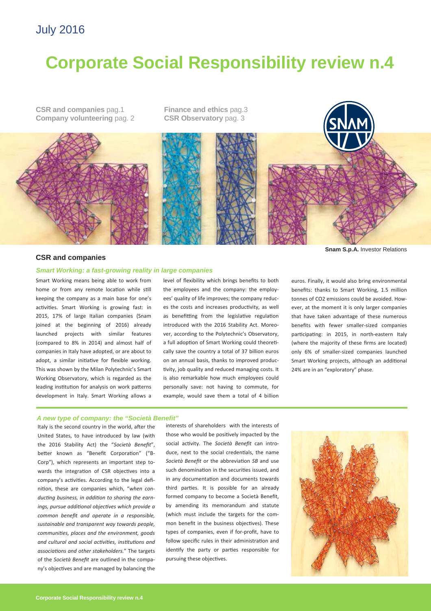# July 2016

# **Corporate Social Responsibility review n.4**

**CSR and companies** pag.1 **Company volunteering pag. 2**  **Finance and ethics** pag.3 **CSR Observatory** pag. 3



# **CSR and companies**

## *Smart Working: a fast-growing reality in large companies*

Smart Working means being able to work from home or from any remote location while still keeping the company as a main base for one's activities. Smart Working is growing fast: in 2015, 17% of large Italian companies (Snam joined at the beginning of 2016) already launched projects with similar features (compared to 8% in 2014) and almost half of companies in Italy have adopted, or are about to adopt, a similar initiative for flexible working. This was shown by the Milan Polytechnic's Smart Working Observatory, which is regarded as the leading institution for analysis on work patterns development in Italy. Smart Working allows a

level of flexibility which brings benefits to both the employees and the company: the employ‐ ees' quality of life improves; the company reduc‐ es the costs and increases productivity, as well as benefitting from the legislative regulation introduced with the 2016 Stability Act. Moreo‐ ver, according to the Polytechnic's Observatory, a full adoption of Smart Working could theoretically save the country a total of 37 billion euros on an annual basis, thanks to improved produc‐ tivity, job quality and reduced managing costs. It is also remarkable how much employees could personally save: not having to commute, for example, would save them a total of 4 billion

**Snam S.p.A.** Investor Relations

euros. Finally, it would also bring environmental benefits: thanks to Smart Working, 1.5 million tonnes of CO2 emissions could be avoided. How‐ ever, at the moment it is only larger companies that have taken advantage of these numerous benefits with fewer smaller‐sized companies participating: in 2015, in north-eastern Italy (where the majority of these firms are located) only 6% of smaller‐sized companies launched Smart Working projects, although an additional 24% are in an "exploratory" phase.

# *A new type of company: the "Società Benefit"*

Italy is the second country in the world, after the United States, to have introduced by law (with the 2016 Stability Act) the "*Società Benefit*", better known as "Benefit Corporation" ("B-Corp"), which represents an important step to‐ wards the integration of CSR objectives into a company's activities. According to the legal definition, these are companies which, "when con*ducƟng business, in addiƟon to sharing the earn‐ ings, pursue addiƟonal objecƟves which provide a common benefit and operate in a responsible, sustainable and transparent way towards people, communiƟes, places and the environment, goods and cultural and social acƟviƟes, insƟtuƟons and associaƟons and other stakeholders.*" The targets of the *Società Benefit* are outlined in the compa‐ ny's objectives and are managed by balancing the

interests of shareholders with the interests of those who would be positively impacted by the social activity. The Società Benefit can introduce, next to the social credentials, the name *Società Benefit* or the abbreviation *SB* and use such denomination in the securities issued, and in any documentation and documents towards third parties. It is possible for an already formed company to become a Società Benefit, by amending its memorandum and statute (which must include the targets for the com‐ mon benefit in the business objectives). These types of companies, even if for‐profit, have to follow specific rules in their administration and identify the party or parties responsible for pursuing these objectives.

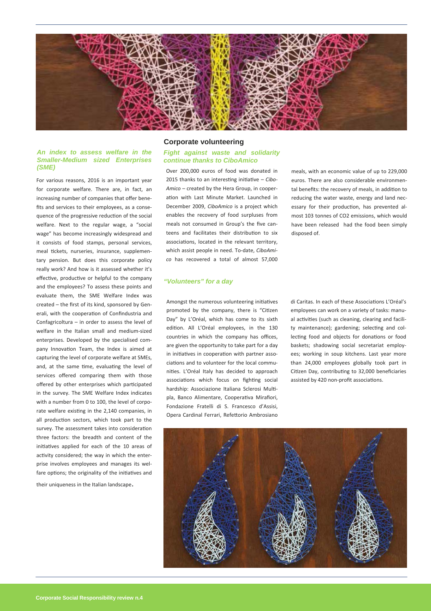

## *An index to assess welfare in the Smaller-Medium sized Enterprises (SME)*

For various reasons, 2016 is an important year for corporate welfare. There are, in fact, an increasing number of companies that offer bene‐ fits and services to their employees, as a conse‐ quence of the progressive reduction of the social welfare. Next to the regular wage, a "social wage" has become increasingly widespread and it consists of food stamps, personal services, meal tickets, nurseries, insurance, supplementary pension. But does this corporate policy really work? And how is it assessed whether it's effective, productive or helpful to the company and the employees? To assess these points and evaluate them, the SME Welfare Index was created – the first of its kind, sponsored by Gen‐ erali, with the cooperation of Confindustria and Confagricoltura – in order to assess the level of welfare in the Italian small and medium‐sized enterprises. Developed by the specialised com‐ pany Innovation Team, the Index is aimed at capturing the level of corporate welfare at SMEs, and, at the same time, evaluating the level of services offered comparing them with those offered by other enterprises which participated in the survey. The SME Welfare Index indicates with a number from 0 to 100, the level of corporate welfare existing in the 2,140 companies, in all production sectors, which took part to the survey. The assessment takes into consideration three factors: the breadth and content of the initiatives applied for each of the 10 areas of activity considered; the way in which the enterprise involves employees and manages its wel‐ fare options; the originality of the initiatives and

their uniqueness in the Italian landscape.

# **Corporate volunteering**

## *Fight against waste and solidarity continue thanks to CiboAmico*

Over 200,000 euros of food was donated in 2015 thanks to an interesting initiative – *Cibo*-*Amico* – created by the Hera Group, in cooper‐ ation with Last Minute Market. Launched in December 2009, *CiboAmico* is a project which enables the recovery of food surpluses from meals not consumed in Group's the five canteens and facilitates their distribution to six associations, located in the relevant territory, which assist people in need. To‐date, *CiboAmi‐ co* has recovered a total of almost 57,000

meals, with an economic value of up to 229,000 euros. There are also considerable environmen‐ tal benefits: the recovery of meals, in addition to reducing the water waste, energy and land nec‐ essary for their production, has prevented almost 103 tonnes of CO2 emissions, which would have been released had the food been simply disposed of.

# *"Volunteers" for a day*

Amongst the numerous volunteering initiatives promoted by the company, there is "Citizen Day" by L'Oréal, which has come to its sixth edition. All L'Oréal employees, in the 130 countries in which the company has offices, are given the opportunity to take part for a day in initiatives in cooperation with partner associations and to volunteer for the local communities. L'Oréal Italy has decided to approach associations which focus on fighting social hardship: Associazione Italiana Sclerosi Multipla, Banco Alimentare, Cooperativa Mirafiori, Fondazione Fratelli di S. Francesco d'Assisi, Opera Cardinal Ferrari, Refettorio Ambrosiano

di Caritas. In each of these Associations L'Oréal's employees can work on a variety of tasks: manu‐ al activities (such as cleaning, clearing and facility maintenance); gardening; selecting and collecting food and objects for donations or food baskets; shadowing social secretariat employ‐ ees; working in soup kitchens. Last year more than 24,000 employees globally took part in Citizen Day, contributing to 32,000 beneficiaries assisted by 420 non-profit associations.